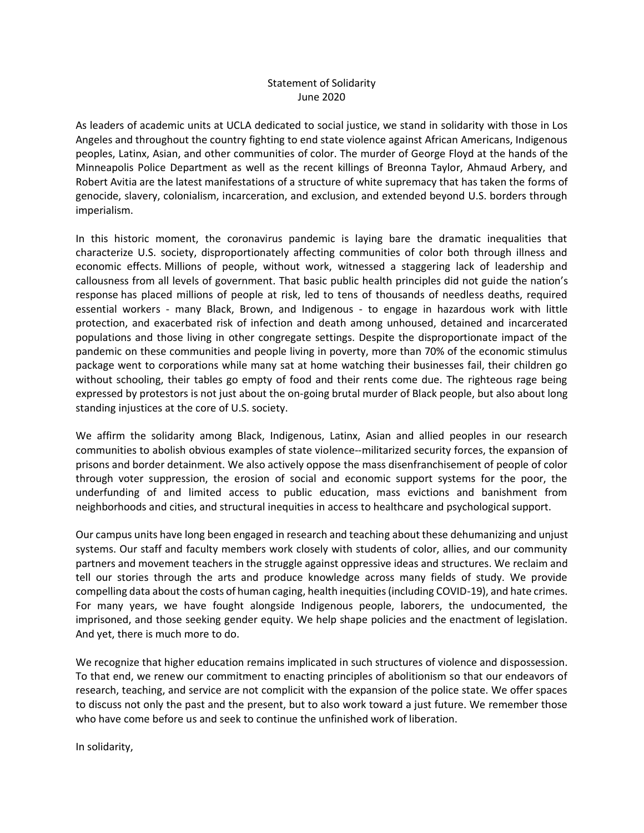## Statement of Solidarity June 2020

As leaders of academic units at UCLA dedicated to social justice, we stand in solidarity with those in Los Angeles and throughout the country fighting to end state violence against African Americans, Indigenous peoples, Latinx, Asian, and other communities of color. The murder of George Floyd at the hands of the Minneapolis Police Department as well as the recent killings of Breonna Taylor, Ahmaud Arbery, and Robert Avitia are the latest manifestations of a structure of white supremacy that has taken the forms of genocide, slavery, colonialism, incarceration, and exclusion, and extended beyond U.S. borders through imperialism.

In this historic moment, the coronavirus pandemic is laying bare the dramatic inequalities that characterize U.S. society, disproportionately affecting communities of color both through illness and economic effects. Millions of people, without work, witnessed a staggering lack of leadership and callousness from all levels of government. That basic public health principles did not guide the nation's response has placed millions of people at risk, led to tens of thousands of needless deaths, required essential workers - many Black, Brown, and Indigenous - to engage in hazardous work with little protection, and exacerbated risk of infection and death among unhoused, detained and incarcerated populations and those living in other congregate settings. Despite the disproportionate impact of the pandemic on these communities and people living in poverty, more than 70% of the economic stimulus package went to corporations while many sat at home watching their businesses fail, their children go without schooling, their tables go empty of food and their rents come due. The righteous rage being expressed by protestors is not just about the on-going brutal murder of Black people, but also about long standing injustices at the core of U.S. society.

We affirm the solidarity among Black, Indigenous, Latinx, Asian and allied peoples in our research communities to abolish obvious examples of state violence--militarized security forces, the expansion of prisons and border detainment. We also actively oppose the mass disenfranchisement of people of color through voter suppression, the erosion of social and economic support systems for the poor, the underfunding of and limited access to public education, mass evictions and banishment from neighborhoods and cities, and structural inequities in access to healthcare and psychological support.

Our campus units have long been engaged in research and teaching about these dehumanizing and unjust systems. Our staff and faculty members work closely with students of color, allies, and our community partners and movement teachers in the struggle against oppressive ideas and structures. We reclaim and tell our stories through the arts and produce knowledge across many fields of study. We provide compelling data about the costs of human caging, health inequities (including COVID-19), and hate crimes. For many years, we have fought alongside Indigenous people, laborers, the undocumented, the imprisoned, and those seeking gender equity. We help shape policies and the enactment of legislation. And yet, there is much more to do.

We recognize that higher education remains implicated in such structures of violence and dispossession. To that end, we renew our commitment to enacting principles of abolitionism so that our endeavors of research, teaching, and service are not complicit with the expansion of the police state. We offer spaces to discuss not only the past and the present, but to also work toward a just future. We remember those who have come before us and seek to continue the unfinished work of liberation.

In solidarity,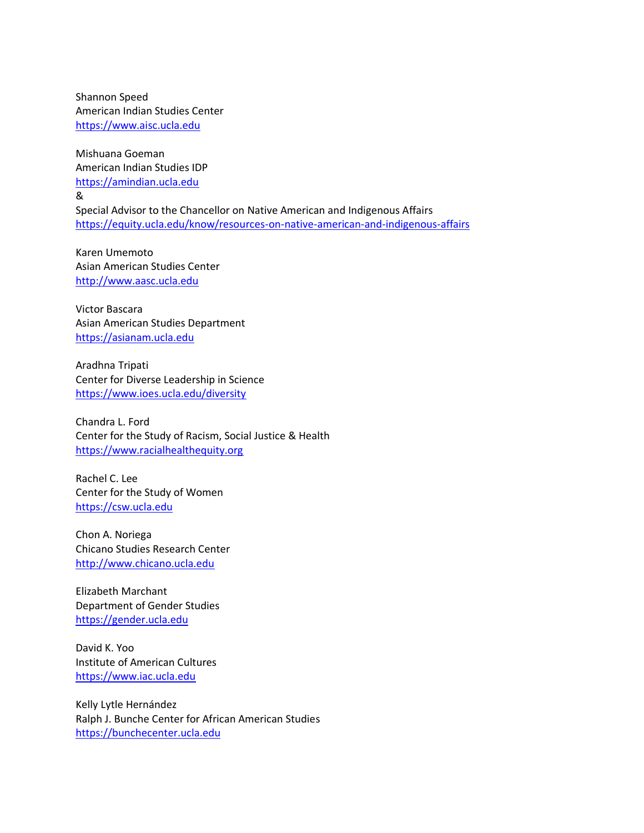Shannon Speed American Indian Studies Center [https://www.aisc.ucla.edu](https://www.aisc.ucla.edu/)

Mishuana Goeman American Indian Studies IDP [https://amindian.ucla.edu](https://amindian.ucla.edu/) & Special Advisor to the Chancellor on Native American and Indigenous Affairs <https://equity.ucla.edu/know/resources-on-native-american-and-indigenous-affairs>

Karen Umemoto Asian American Studies Center [http://www.aasc.ucla.edu](http://www.aasc.ucla.edu/)

Victor Bascara Asian American Studies Department [https://asianam.ucla.edu](https://asianam.ucla.edu/)

Aradhna Tripati Center for Diverse Leadership in Science <https://www.ioes.ucla.edu/diversity>

Chandra L. Ford Center for the Study of Racism, Social Justice & Health [https://www.racialhealthequity.org](https://www.racialhealthequity.org/)

Rachel C. Lee Center for the Study of Women [https://csw.ucla.edu](https://csw.ucla.edu/)

Chon A. Noriega Chicano Studies Research Center [http://www.chicano.ucla.edu](http://www.chicano.ucla.edu/)

Elizabeth Marchant Department of Gender Studies [https://gender.ucla.edu](https://gender.ucla.edu/)

David K. Yoo Institute of American Cultures [https://www.iac.ucla.edu](https://www.iac.ucla.edu/)

Kelly Lytle Hernández Ralph J. Bunche Center for African American Studies [https://bunchecenter.ucla.edu](https://bunchecenter.ucla.edu/)